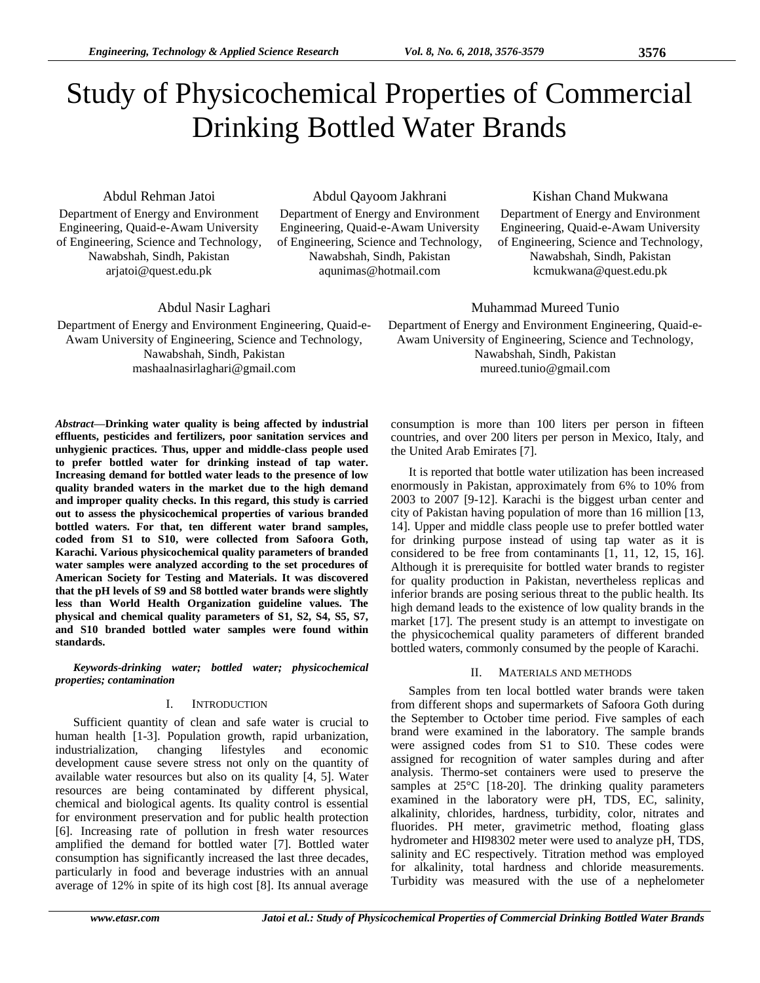# Study of Physicochemical Properties of Commercial Drinking Bottled Water Brands

Abdul Rehman Jatoi

Department of Energy and Environment Engineering, Quaid-e-Awam University of Engineering, Science and Technology, Nawabshah, Sindh, Pakistan arjatoi@quest.edu.pk

Abdul Qayoom Jakhrani

Department of Energy and Environment Engineering, Quaid-e-Awam University of Engineering, Science and Technology, Nawabshah, Sindh, Pakistan aqunimas@hotmail.com

## Kishan Chand Mukwana

Department of Energy and Environment Engineering, Quaid-e-Awam University of Engineering, Science and Technology, Nawabshah, Sindh, Pakistan kcmukwana@quest.edu.pk

Abdul Nasir Laghari

Department of Energy and Environment Engineering, Quaid-e-Awam University of Engineering, Science and Technology, Nawabshah, Sindh, Pakistan mashaalnasirlaghari@gmail.com

*Abstract***—Drinking water quality is being affected by industrial effluents, pesticides and fertilizers, poor sanitation services and unhygienic practices. Thus, upper and middle-class people used to prefer bottled water for drinking instead of tap water. Increasing demand for bottled water leads to the presence of low quality branded waters in the market due to the high demand and improper quality checks. In this regard, this study is carried out to assess the physicochemical properties of various branded bottled waters. For that, ten different water brand samples, coded from S1 to S10, were collected from Safoora Goth, Karachi. Various physicochemical quality parameters of branded water samples were analyzed according to the set procedures of American Society for Testing and Materials. It was discovered that the pH levels of S9 and S8 bottled water brands were slightly less than World Health Organization guideline values. The physical and chemical quality parameters of S1, S2, S4, S5, S7, and S10 branded bottled water samples were found within standards.**

*Keywords-drinking water; bottled water; physicochemical properties; contamination*

### I. INTRODUCTION

Sufficient quantity of clean and safe water is crucial to human health [1-3]. Population growth, rapid urbanization, industrialization, changing lifestyles and economic development cause severe stress not only on the quantity of available water resources but also on its quality [4, 5]. Water resources are being contaminated by different physical, chemical and biological agents. Its quality control is essential for environment preservation and for public health protection [6]. Increasing rate of pollution in fresh water resources amplified the demand for bottled water [7]. Bottled water consumption has significantly increased the last three decades, particularly in food and beverage industries with an annual average of 12% in spite of its high cost [8]. Its annual average

consumption is more than 100 liters per person in fifteen countries, and over 200 liters per person in Mexico, Italy, and the United Arab Emirates [7].

Muhammad Mureed Tunio Department of Energy and Environment Engineering, Quaid-e-Awam University of Engineering, Science and Technology, Nawabshah, Sindh, Pakistan mureed.tunio@gmail.com

It is reported that bottle water utilization has been increased enormously in Pakistan, approximately from 6% to 10% from 2003 to 2007 [9-12]. Karachi is the biggest urban center and city of Pakistan having population of more than 16 million [13, 14]. Upper and middle class people use to prefer bottled water for drinking purpose instead of using tap water as it is considered to be free from contaminants [1, 11, 12, 15, 16]. Although it is prerequisite for bottled water brands to register for quality production in Pakistan, nevertheless replicas and inferior brands are posing serious threat to the public health. Its high demand leads to the existence of low quality brands in the market [17]. The present study is an attempt to investigate on the physicochemical quality parameters of different branded bottled waters, commonly consumed by the people of Karachi.

## II. MATERIALS AND METHODS

Samples from ten local bottled water brands were taken from different shops and supermarkets of Safoora Goth during the September to October time period. Five samples of each brand were examined in the laboratory. The sample brands were assigned codes from S1 to S10. These codes were assigned for recognition of water samples during and after analysis. Thermo-set containers were used to preserve the samples at  $25^{\circ}$ C [18-20]. The drinking quality parameters examined in the laboratory were pH, TDS, EC, salinity, alkalinity, chlorides, hardness, turbidity, color, nitrates and fluorides. PH meter, gravimetric method, floating glass hydrometer and HI98302 meter were used to analyze pH, TDS, salinity and EC respectively. Titration method was employed for alkalinity, total hardness and chloride measurements. Turbidity was measured with the use of a nephelometer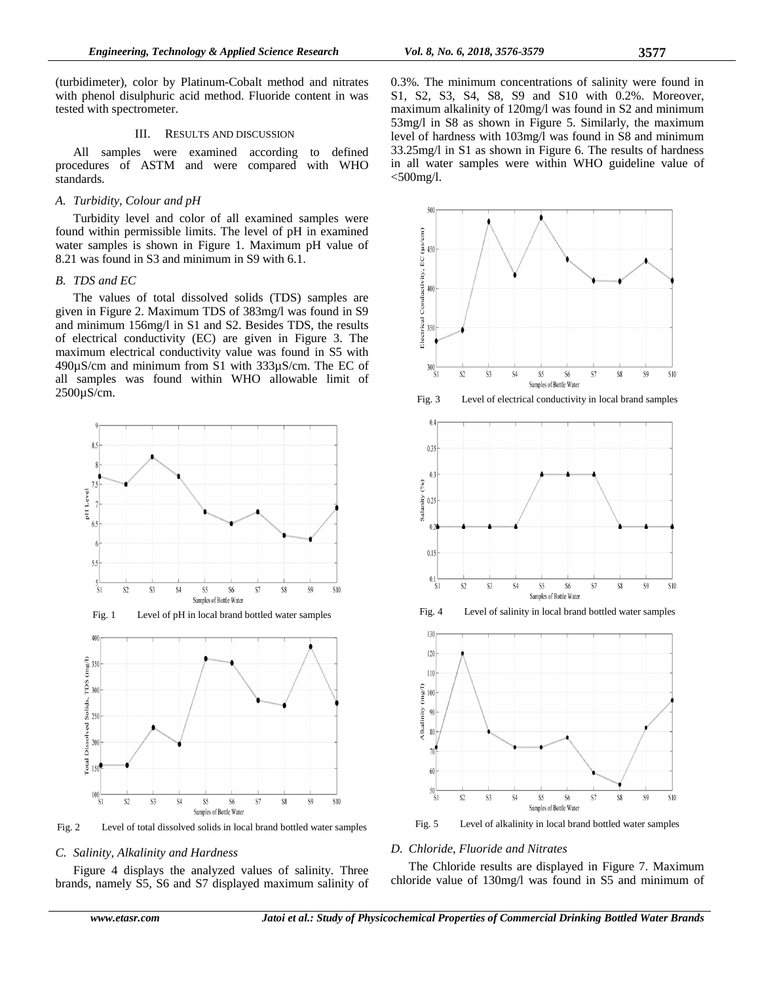(turbidimeter), color by Platinum-Cobalt method and nitrates with phenol disulphuric acid method. Fluoride content in was tested with spectrometer.

### III. RESULTS AND DISCUSSION

All samples were examined according to defined procedures of ASTM and were compared with WHO standards.

## *A. Turbidity, Colour and pH*

Turbidity level and color of all examined samples were found within permissible limits. The level of pH in examined water samples is shown in Figure 1. Maximum pH value of 8.21 was found in S3 and minimum in S9 with 6.1.

## *B. TDS and EC*

The values of total dissolved solids (TDS) samples are given in Figure 2. Maximum TDS of 383mg/l was found in S9 and minimum 156mg/l in S1 and S2. Besides TDS, the results of electrical conductivity (EC) are given in Figure 3. The maximum electrical conductivity value was found in S5 with 490µS/cm and minimum from S1 with 333µS/cm. The EC of all samples was found within WHO allowable limit of 2500µS/cm.





Fig. 2 Level of total dissolved solids in local brand bottled water samples

#### *C. Salinity, Alkalinity and Hardness*

Figure 4 displays the analyzed values of salinity. Three brands, namely S5, S6 and S7 displayed maximum salinity of 0.3%. The minimum concentrations of salinity were found in S1, S2, S3, S4, S8, S9 and S10 with 0.2%. Moreover, maximum alkalinity of 120mg/l was found in S2 and minimum 53mg/l in S8 as shown in Figure 5. Similarly, the maximum level of hardness with 103mg/l was found in S8 and minimum 33.25mg/l in S1 as shown in Figure 6. The results of hardness in all water samples were within WHO guideline value of  $<$ 500mg/l.



Fig. 3 Level of electrical conductivity in local brand samples



Fig. 4 Level of salinity in local brand bottled water samples



Fig. 5 Level of alkalinity in local brand bottled water samples

## *D. Chloride, Fluoride and Nitrates*

The Chloride results are displayed in Figure 7. Maximum chloride value of 130mg/l was found in S5 and minimum of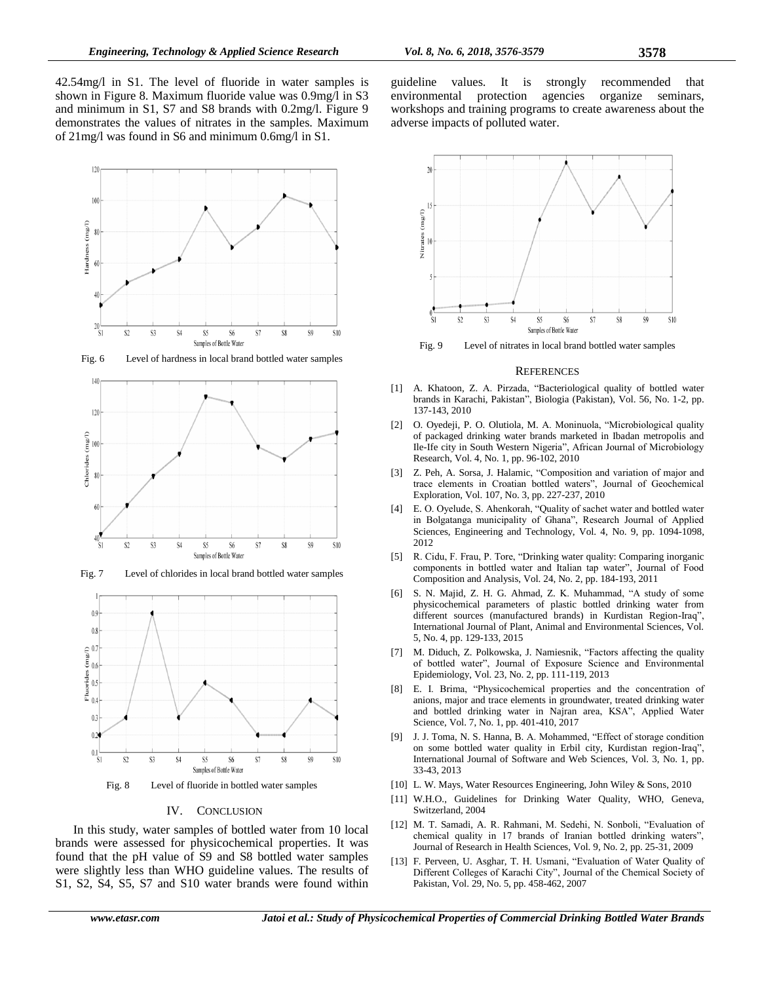42.54mg/l in S1. The level of fluoride in water samples is shown in Figure 8. Maximum fluoride value was 0.9mg/l in S3 and minimum in S1, S7 and S8 brands with 0.2mg/l. Figure 9 demonstrates the values of nitrates in the samples. Maximum of 21mg/l was found in S6 and minimum 0.6mg/l in S1.



Fig. 6 Level of hardness in local brand bottled water samples



Fig. 7 Level of chlorides in local brand bottled water samples



Fig. 8 Level of fluoride in bottled water samples

### IV. CONCLUSION

In this study, water samples of bottled water from 10 local brands were assessed for physicochemical properties. It was found that the pH value of S9 and S8 bottled water samples were slightly less than WHO guideline values. The results of S1, S2, S4, S5, S7 and S10 water brands were found within guideline values. It is strongly recommended that environmental protection agencies organize seminars, workshops and training programs to create awareness about the adverse impacts of polluted water.



Fig. 9 Level of nitrates in local brand bottled water samples

#### **REFERENCES**

- [1] A. Khatoon, Z. A. Pirzada, "Bacteriological quality of bottled water brands in Karachi, Pakistan", Biologia (Pakistan), Vol. 56, No. 1-2, pp. 137-143, 2010
- [2] O. Oyedeji, P. O. Olutiola, M. A. Moninuola, "Microbiological quality of packaged drinking water brands marketed in Ibadan metropolis and Ile-Ife city in South Western Nigeria", African Journal of Microbiology Research, Vol. 4, No. 1, pp. 96-102, 2010
- [3] Z. Peh, A. Sorsa, J. Halamic, "Composition and variation of major and trace elements in Croatian bottled waters", Journal of Geochemical Exploration, Vol. 107, No. 3, pp. 227-237, 2010
- [4] E. O. Oyelude, S. Ahenkorah, "Quality of sachet water and bottled water in Bolgatanga municipality of Ghana", Research Journal of Applied Sciences, Engineering and Technology, Vol. 4, No. 9, pp. 1094-1098, 2012
- [5] R. Cidu, F. Frau, P. Tore, "Drinking water quality: Comparing inorganic components in bottled water and Italian tap water", Journal of Food Composition and Analysis, Vol. 24, No. 2, pp. 184-193, 2011
- [6] S. N. Majid, Z. H. G. Ahmad, Z. K. Muhammad, "A study of some physicochemical parameters of plastic bottled drinking water from different sources (manufactured brands) in Kurdistan Region-Iraq", International Journal of Plant, Animal and Environmental Sciences, Vol. 5, No. 4, pp. 129-133, 2015
- [7] M. Diduch, Z. Polkowska, J. Namiesnik, "Factors affecting the quality of bottled water", Journal of Exposure Science and Environmental Epidemiology, Vol. 23, No. 2, pp. 111-119, 2013
- [8] E. I. Brima, "Physicochemical properties and the concentration of anions, major and trace elements in groundwater, treated drinking water and bottled drinking water in Najran area, KSA", Applied Water Science, Vol. 7, No. 1, pp. 401-410, 2017
- [9] J. J. Toma, N. S. Hanna, B. A. Mohammed, "Effect of storage condition on some bottled water quality in Erbil city, Kurdistan region-Iraq", International Journal of Software and Web Sciences, Vol. 3, No. 1, pp. 33-43, 2013
- [10] L. W. Mays, Water Resources Engineering, John Wiley & Sons, 2010
- [11] W.H.O., Guidelines for Drinking Water Quality, WHO, Geneva, Switzerland, 2004
- [12] M. T. Samadi, A. R. Rahmani, M. Sedehi, N. Sonboli, "Evaluation of chemical quality in 17 brands of Iranian bottled drinking waters", Journal of Research in Health Sciences, Vol. 9, No. 2, pp. 25-31, 2009
- [13] F. Perveen, U. Asghar, T. H. Usmani, "Evaluation of Water Quality of Different Colleges of Karachi City", Journal of the Chemical Society of Pakistan, Vol. 29, No. 5, pp. 458-462, 2007